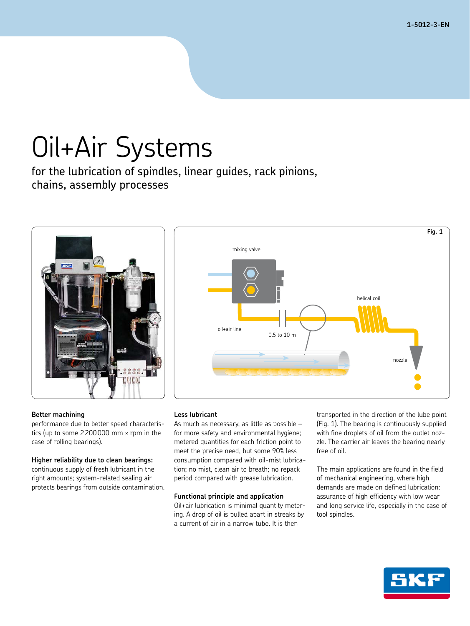**1-5012-3-EN**

# Oil+Air Systems

for the lubrication of spindles, linear guides, rack pinions, chains, assembly processes



## mixing valve helical coil  $0.5 \text{ to } 10 \text{ m}$ pozzle  $\delta$ il+air line **Fig. 1**

### **Better machining**

performance due to better speed characteristics (up to some 2200000 mm × rpm in the case of rolling bearings).

### **Higher reliability due to clean bearings:**

continuous supply of fresh lubricant in the right amounts; system-related sealing air protects bearings from outside contamination.

### **Less lubricant**

As much as necessary, as little as possible – for more safety and environmental hygiene; metered quantities for each friction point to meet the precise need, but some 90% less consumption compared with oil-mist lubrication; no mist, clean air to breath; no repack period compared with grease lubrication.

### **Functional principle and application**

Oil+air lubrication is minimal quantity metering. A drop of oil is pulled apart in streaks by a current of air in a narrow tube. It is then

transported in the direction of the lube point (Fig. 1). The bearing is continuously supplied with fine droplets of oil from the outlet nozzle. The carrier air leaves the bearing nearly free of oil.

The main applications are found in the field of mechanical engineering, where high demands are made on defined lubrication: assurance of high efficiency with low wear and long service life, especially in the case of tool spindles.

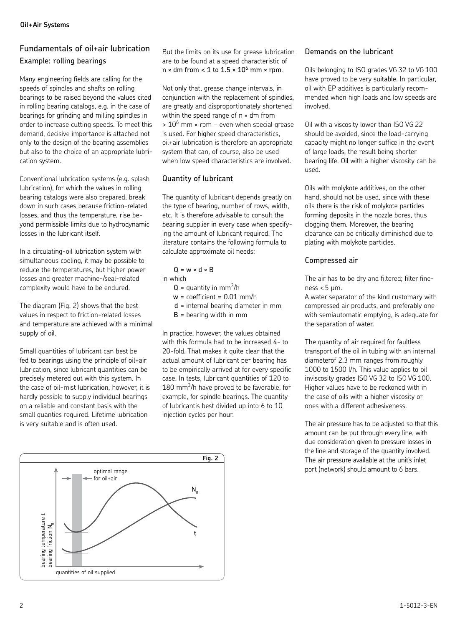### Fundamentals of oil+air lubrication Example: rolling bearings

Many engineering fields are calling for the speeds of spindles and shafts on rolling bearings to be raised beyond the values cited in rolling bearing catalogs, e.g. in the case of bearings for grinding and milling spindles in order to increase cutting speeds. To meet this demand, decisive importance is attached not only to the design of the bearing assemblies but also to the choice of an appropriate lubrication system.

Conventional lubrication systems (e.g. splash lubrication), for which the values in rolling bearing catalogs were also prepared, break down in such cases because friction-related losses, and thus the temperature, rise beyond permissible limits due to hydrodynamic losses in the lubricant itself.

In a circulating-oil lubrication system with simultaneous cooling, it may be possible to reduce the temperatures, but higher power losses and greater machine-/seal-related complexity would have to be endured.

The diagram (Fig. 2) shows that the best values in respect to friction-related losses and temperature are achieved with a minimal supply of oil.

Small quantities of lubricant can best be fed to bearings using the principle of oil+air lubrication, since lubricant quantities can be precisely metered out with this system. In the case of oil-mist lubrication, however, it is hardly possible to supply individual bearings on a reliable and constant basis with the small quanties required. Lifetime lubrication is very suitable and is often used.



But the limits on its use for grease lubrication are to be found at a speed characteristic of  $n \times dm$  from  $< 1$  to  $1.5 \times 10^6$  mm  $\times$  rpm.

Not only that, grease change intervals, in conjunction with the replacement of spindles, are greatly and disproportionately shortened within the speed range of  $n \times dm$  from  $> 10^6$  mm  $\times$  rpm – even when special grease is used. For higher speed characteristics, oil+air lubrication is therefore an appropriate system that can, of course, also be used when low speed characteristics are involved.

### Quantity of lubricant

The quantity of lubricant depends greatly on the type of bearing, number of rows, width, etc. It is therefore advisable to consult the bearing supplier in every case when specifying the amount of lubricant required. The literature contains the following formula to calculate approximate oil needs:

### $Q = w \times dx$  B

in which

- $Q =$  quantity in mm<sup>3</sup>/h
- $w =$  coefficient = 0.01 mm/h
- d = internal bearing diameter in mm
- $B =$  bearing width in mm

In practice, however, the values obtained with this formula had to be increased 4- to 20-fold. That makes it quite clear that the actual amount of lubricant per bearing has to be empirically arrived at for every specific case. In tests, lubricant quantities of 120 to  $180$  mm<sup>3</sup>/h have proved to be favorable, for example, for spindle bearings. The quantity of lubricantis best divided up into 6 to 10 injection cycles per hour.

### Demands on the lubricant

Oils belonging to ISO grades VG 32 to VG 100 have proved to be very suitable. In particular, oil with EP additives is particularly recommended when high loads and low speeds are involved.

Oil with a viscosity lower than ISO VG 22 should be avoided, since the load-carrying capacity might no longer suffice in the event of large loads, the result being shorter bearing life. Oil with a higher viscosity can be used.

Oils with molykote additives, on the other hand, should not be used, since with these oils there is the risk of molykote particles forming deposits in the nozzle bores, thus clogging them. Moreover, the bearing clearance can be critically diminished due to plating with molykote particles.

### Compressed air

The air has to be dry and filtered; filter fineness  $< 5 \mu m$ .

A water separator of the kind customary with compressed air products, and preferably one with semiautomatic emptying, is adequate for the separation of water.

The quantity of air required for faultless transport of the oil in tubing with an internal diameterof 2.3 mm ranges from roughly 1000 to 1500 I/h. This value applies to oil inviscosity grades ISO VG 32 to ISO VG 100. Higher values have to be reckoned with in the case of oils with a higher viscosity or ones with a different adhesiveness.

The air pressure has to be adjusted so that this amount can be put through every line, with due consideration given to pressure losses in the line and storage of the quantity involved. The air pressure available at the unit's inlet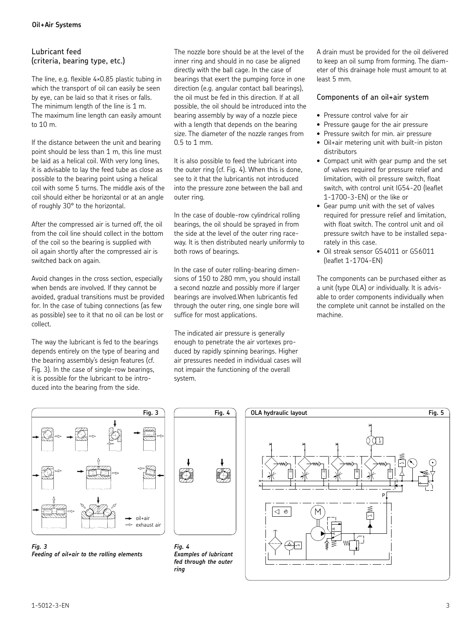### Lubricant feed (criteria, bearing type, etc.)

The line, e.g. flexible 4×0.85 plastic tubing in which the transport of oil can easily be seen by eye, can be laid so that it rises or falls. The minimum length of the line is 1 m. The maximum line length can easily amount to 10 m.

If the distance between the unit and bearing point should be less than 1 m, this line must be laid as a helical coil. With very long lines, it is advisable to lay the feed tube as close as possible to the bearing point using a helical coil with some 5 turns. The middle axis of the coil should either be horizontal or at an angle of roughly 30° to the horizontal.

After the compressed air is turned off, the oil from the coil line should collect in the bottom of the coil so the bearing is supplied with oil again shortly after the compressed air is switched back on again.

Avoid changes in the cross section, especially when bends are involved. If they cannot be avoided, gradual transitions must be provided for. In the case of tubing connections (as few as possible) see to it that no oil can be lost or collect.

The way the lubricant is fed to the bearings depends entirely on the type of bearing and the bearing assembly's design features (cf. Fig. 3). In the case of single-row bearings, it is possible for the lubricant to be introduced into the bearing from the side.

The nozzle bore should be at the level of the inner ring and should in no case be aligned directly with the ball cage. In the case of bearings that exert the pumping force in one direction (e.g. angular contact ball bearings), the oil must be fed in this direction. If at all possible, the oil should be introduced into the bearing assembly by way of a nozzle piece with a length that depends on the bearing size. The diameter of the nozzle ranges from 0.5 to 1 mm.

It is also possible to feed the lubricant into the outer ring (cf. Fig. 4). When this is done, see to it that the lubricantis not introduced into the pressure zone between the ball and outer ring.

In the case of double-row cylindrical rolling bearings, the oil should be sprayed in from the side at the level of the outer ring raceway. It is then distributed nearly uniformly to both rows of bearings.

In the case of outer rolling-bearing dimensions of 150 to 280 mm, you should install a second nozzle and possibly more if larger bearings are involved.When lubricantis fed through the outer ring, one single bore will suffice for most applications.

The indicated air pressure is generally enough to penetrate the air vortexes produced by rapidly spinning bearings. Higher air pressures needed in individual cases will not impair the functioning of the overall system.

A drain must be provided for the oil delivered to keep an oil sump from forming. The diameter of this drainage hole must amount to at least 5 mm.

### Components of an oil+air system

- Pressure control valve for air
- Pressure gauge for the air pressure
- Pressure switch for min. air pressure
- Oil+air metering unit with built-in piston distributors
- Compact unit with gear pump and the set of valves required for pressure relief and limitation, with oil pressure switch, float switch, with control unit IG54-20 (leaflet 1-1700-3-EN) or the like or
- Gear pump unit with the set of valves required for pressure relief and limitation, with float switch. The control unit and oil pressure switch have to be installed separately in this case.
- Oil streak sensor GS4011 or GS6011 (leaflet 1-1704-EN)

The components can be purchased either as a unit (type OLA) or individually. It is advisable to order components individually when the complete unit cannot be installed on the machine.



*Fig. 3 Feeding of oil+air to the rolling elements*



*Fig. 4 Examples of lubricant fed through the outer ring*

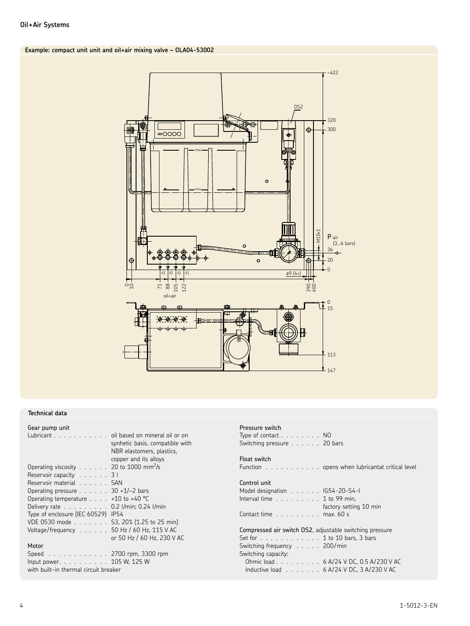### **Example: compact unit unit and oil+air mixing valve – OLA04-53002**



### **Technical data**

| Gear pump unit                                    |                                 |
|---------------------------------------------------|---------------------------------|
| Lubricant oil based on mineral oil or on          |                                 |
|                                                   | synhetic basis, compatible with |
|                                                   | NBR elastomers, plastics,       |
|                                                   | copper and its alloys           |
| Operating viscosity 20 to 1000 mm <sup>2</sup> /s |                                 |
| Reservoir capacity $\ldots$                       | 3 I                             |
| Reservoir material                                | <b>SAN</b>                      |
| Operating pressure $\ldots$ 30 +1/-2 bars         |                                 |
| Operating temperature $\ldots$ +10 to +40 °C      |                                 |
| Delivery rate 0.2 l/min: 0.24 l/min               |                                 |
| Type of enclosure (IEC 60529) IP54                |                                 |
| VDE 0530 mode                                     | S3, 20% (1.25 to 25 min)        |
| Voltage/frequency                                 | 50 Hz / 60 Hz, 115 V AC         |
|                                                   | or 50 Hz / 60 Hz, 230 V AC      |
| Motor                                             |                                 |
|                                                   |                                 |

Speed . . . . . . . . . . . . 2700 rpm, 3300 rpm Input power. . . . . . . . . . 105 W, 125 W with built-in thermal circuit breaker

### Pressure switch

| Type of contact $\ldots$ NO         |  |  |  |  |
|-------------------------------------|--|--|--|--|
| Switching pressure $\ldots$ 20 bars |  |  |  |  |
|                                     |  |  |  |  |

### Float switch

Function . . . . . . . . . . . . opens when lubricantat critical level

#### Control unit

| Model designation IG54-20-S4-I                    |  |  |  |                        |
|---------------------------------------------------|--|--|--|------------------------|
| Interval time $\ldots \ldots \ldots 1$ to 99 min. |  |  |  |                        |
|                                                   |  |  |  | factory setting 10 min |
| Contact time $\ldots$ max. 60 s                   |  |  |  |                        |

Compressed air switch DS2, adjustable switching pressure Set for . . . . . . . . . . . . 1 to 10 bars, 3 bars Switching frequency . . . . . 200/min Switching capacity: Ohmic load . . . . . . . . . 6 A/24 V DC, 0.5 A/230 V AC Inductive load . . . . . . . 6 A/24 V DC, 3 A/230 V AC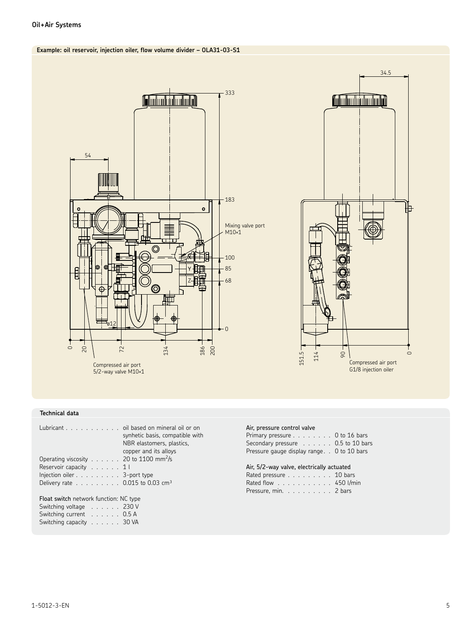### **Oil+Air Systems**

### **Example: oil reservoir, injection oiler, flow volume divider – OLA31-03-S1**



### **Technical data**

| Lubricant $\ldots$ , $\ldots$ , $\ldots$ , oil based on mineral oil or on<br>Operating viscosity $\dots \dots$ 20 to 1100 mm <sup>2</sup> /s | synhetic basis, compatible with<br>NBR elastomers, plastics,<br>copper and its alloys |
|----------------------------------------------------------------------------------------------------------------------------------------------|---------------------------------------------------------------------------------------|
| Reservoir capacity $\dots$ . $11$                                                                                                            |                                                                                       |
|                                                                                                                                              |                                                                                       |
| Injection oiler $\ldots$ 3-port type                                                                                                         |                                                                                       |
| Delivery rate $\ldots \ldots \ldots 0.015$ to 0.03 cm <sup>3</sup>                                                                           |                                                                                       |
| Float switch network function: NC type<br>Switching voltage $\ldots \ldots$ 230 V<br>Switching current 0.5 A<br>Switching capacity 30 VA     |                                                                                       |

#### Air, pressure control valve

| Primary pressure $\dots$ $\dots$ $\dots$ 0 to 16 bars |  |
|-------------------------------------------------------|--|
| Secondary pressure 0.5 to 10 bars                     |  |
| Pressure gauge display range. . 0 to 10 bars          |  |

114  $151.5 -$ 

 $34.5$ 

<u> Columbia alian p</u>

Compressed air port G1/8 injection oiler

 $\infty$ 

 $\circ$ 

|  |  |  |  | Air, 5/2-way valve, electrically actuated |
|--|--|--|--|-------------------------------------------|
|--|--|--|--|-------------------------------------------|

| Rated pressure 10 bars |  |  |  |  |  |
|------------------------|--|--|--|--|--|
| Rated flow 450 l/min   |  |  |  |  |  |
| Pressure, min. 2 bars  |  |  |  |  |  |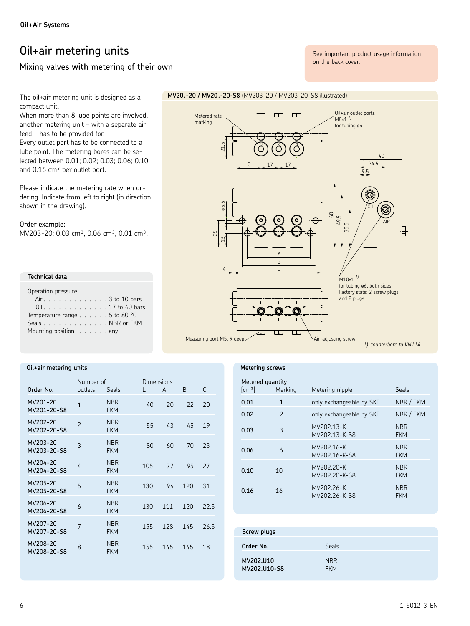### Oil+air metering units

### Mixing valves with metering of their own

See important product usage information on the back cover.

The oil+air metering unit is designed as a compact unit.

When more than 8 lube points are involved, another metering unit - with a separate air feed - has to be provided for.

Every outlet port has to be connected to a lube point. The metering bores can be selected between 0.01; 0.02; 0.03; 0.06; 0.10 and 0.16 cm<sup>3</sup> per outlet port.

Please indicate the metering rate when ordering. Indicate from left to right (in direction shown in the drawing).

### Order example:

MV203-20: 0.03 cm<sup>3</sup>, 0.06 cm<sup>3</sup>, 0.01 cm<sup>3</sup>,

| Technical data                        |  |  |  |
|---------------------------------------|--|--|--|
| Operation pressure                    |  |  |  |
| Air. 3 to 10 bars                     |  |  |  |
| Oil. 17 to 40 bars                    |  |  |  |
| Temperature range $\ldots$ 5 to 80 °C |  |  |  |
| Seals NBR or FKM                      |  |  |  |
| Mounting position any                 |  |  |  |

### Oil+air metering units

| Order No.               | Number of<br>outlets     | Seals                    | Dimensions<br>L | A   | <sub>R</sub> | $\mathsf{C}$ |
|-------------------------|--------------------------|--------------------------|-----------------|-----|--------------|--------------|
| MV201-20<br>MV201-20-S8 | $\mathbf{1}$             | <b>NBR</b><br><b>FKM</b> | 40              | 20  | 22           | 20           |
| MV202-20<br>MV202-20-S8 | $\overline{\phantom{0}}$ | <b>NBR</b><br><b>FKM</b> | 55              | 43  | 45           | 19           |
| MV203-20<br>MV203-20-S8 | 3                        | <b>NBR</b><br><b>FKM</b> | 80              | 60  | 70           | 23           |
| MV204-20<br>MV204-20-S8 | 4                        | <b>NBR</b><br><b>FKM</b> | 105             | 77  | 95           | 27           |
| MV205-20<br>MV205-20-S8 | 5                        | <b>NBR</b><br><b>FKM</b> | 130             | 94  | 120          | 31           |
| MV206-20<br>MV206-20-S8 | 6                        | <b>NBR</b><br><b>FKM</b> | 130             | 111 | 120          | 22.5         |
| MV207-20<br>MV207-20-S8 | 7                        | <b>NBR</b><br><b>FKM</b> | 155             | 128 | 145          | 26.5         |
| MV208-20<br>MV208-20-S8 | 8                        | <b>NBR</b><br><b>FKM</b> | 155             | 145 | 145          | 18           |



### Metering screws

| Metered quantity<br>$\lceil$ cm <sup>3</sup> $\rceil$ | Marking       | Metering nipple             | Seals                    |
|-------------------------------------------------------|---------------|-----------------------------|--------------------------|
| 0.01                                                  | 1             | only exchangeable by SKF    | NBR / FKM                |
| 0.02                                                  | $\mathcal{P}$ | only exchangeable by SKF    | NBR / FKM                |
| 0.03                                                  | 3             | MV202.13-K<br>MV202.13-K-S8 | <b>NBR</b><br><b>FKM</b> |
| 0.06                                                  | 6             | MV202.16-K<br>MV202.16-K-S8 | <b>NBR</b><br><b>FKM</b> |
| 0.10                                                  | 10            | MV202.20-K<br>MV202.20-K-S8 | <b>NBR</b><br><b>FKM</b> |
| 0.16                                                  | 16            | MV202.26-K<br>MV202.26-K-S8 | <b>NBR</b><br>FKM        |

| Screw plugs               |                          |
|---------------------------|--------------------------|
| Order No.                 | <b>Seals</b>             |
| MV202.U10<br>MV202.U10-S8 | <b>NBR</b><br><b>FKM</b> |

### MV20.-20 / MV20.-20-58 (MV203-20 / MV203-20-58 illustrated)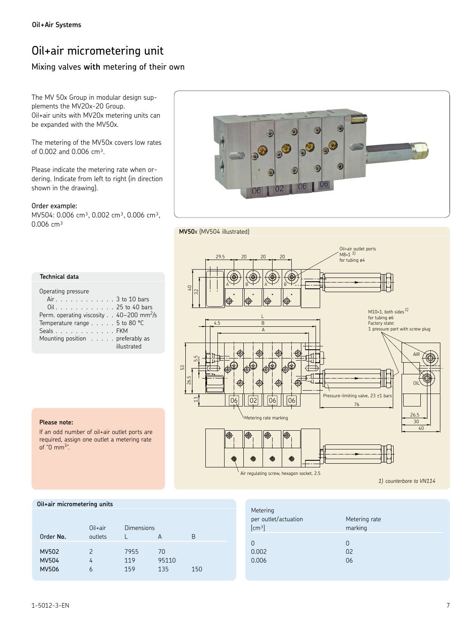### Oil+air micrometering unit

### Mixing valves **with** metering of their own

The MV 50x Group in modular design supplements the MV20x-20 Group. Oil+air units with MV20x metering units can be expanded with the MV50x.

The metering of the MV50x covers low rates of 0.002 and 0.006 cm<sup>3</sup>.

Please indicate the metering rate when ordering. Indicate from left to right (in direction shown in the drawing).

Order example:

MV504: 0.006 cm<sup>3</sup>, 0.002 cm<sup>3</sup>, 0.006 cm<sup>3</sup>,  $0.006$  cm<sup>3</sup>



### **MV50**x (MV504 illustrated)

| <b>Technical data</b><br>Operating pressure<br>Air 3 to 10 bars<br>Oil. 25 to 40 bars                                                                       |
|-------------------------------------------------------------------------------------------------------------------------------------------------------------|
|                                                                                                                                                             |
| Perm. operating viscosity 40-200 mm <sup>2</sup> /s<br>Temperature range $\ldots$ 5 to 80 °C<br>Seals FKM<br>Mounting position preferably as<br>illustrated |



### **Please note:**

If an odd number of oil+air outlet ports are required, assign one outlet a metering rate of "0  $mm<sup>3</sup>$ ".

#### **Oil+air micrometering units**

| Order No.                                    | $Oil+air$<br>outlets    | Dimensions         | А                  | R   |  |
|----------------------------------------------|-------------------------|--------------------|--------------------|-----|--|
| <b>MV502</b><br><b>MV504</b><br><b>MV506</b> | $\mathcal{P}$<br>4<br>6 | 7955<br>119<br>159 | 70<br>95110<br>135 | 150 |  |

| Metering<br>per outlet/actuation<br>[cm <sup>3</sup> ] | Metering rate<br>marking |
|--------------------------------------------------------|--------------------------|
| O                                                      | O                        |
| 0.002                                                  | 0 <sup>2</sup>           |
| 0.006                                                  | 06                       |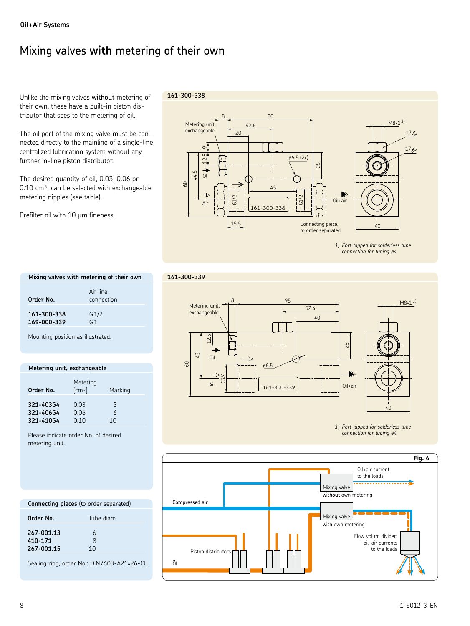### Mixing valves **with** metering of their own

Unlike the mixing valves without metering of their own, these have a built-in piston distributor that sees to the metering of oil.

The oil port of the mixing valve must be connected directly to the mainline of a single-line centralized lubrication system without any further in-line piston distributor.

The desired quantity of oil, 0.03; 0.06 or  $0.10 \text{ cm}^3$ , can be selected with exchangeable metering nipples (see table).

Prefilter oil with 10 um fineness.

### **161-300-338**

**161-300-339**



*1) Port tapped for solderless tube connection for tubing ø4* 

| Mixing valves with metering of their own |                                    |  |
|------------------------------------------|------------------------------------|--|
| Order No.                                | Air line<br>connection             |  |
| 161-300-338<br>169-000-339               | G <sub>1/2</sub><br>G <sub>1</sub> |  |

Mounting position as illustrated.

### **Metering unit, exchangeable**

| Order No. | Metering<br>[cm <sup>3</sup> ] | Marking |  |
|-----------|--------------------------------|---------|--|
| 321-40364 | 0.03                           | 3       |  |
| 321-40664 | 0.06                           | 6       |  |
| 321-41064 | 0.10                           | 10      |  |

Please indicate order No. of desired metering unit.



*1) Port tapped for solderless tube connection for tubing ø4* 



### **Connecting pieces** (to order separated)

| Order No.                           | Tube diam.                          |  |
|-------------------------------------|-------------------------------------|--|
| 267-001.13<br>410-171<br>267-001.15 | 6<br><sub>8</sub><br>1 <sub>0</sub> |  |

Sealing ring, order No.: DIN7603-A21×26-CU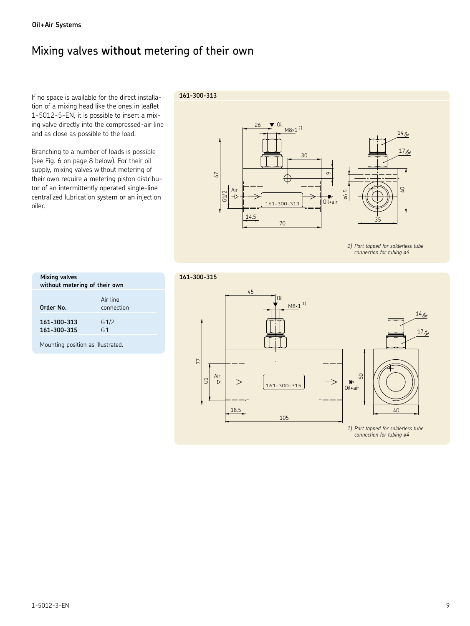### Mixing valves **without** metering of their own

If no space is available for the direct installation of a mixing head like the ones in leaflet 1-5012-5-EN, it is possible to insert a mixing valve directly into the compressed-air line and as close as possible to the load.

Branching to a number of loads is possible (see Fig. 6 on page 8 below). For their oil supply, mixing valves without metering of their own require a metering piston distributor of an intermittently operated single-line centralized lubrication system or an injection oiler.

### **161-300-313**



*1) Port tapped for solderless tube connection for tubing ø4* 

| Mixing valves<br>without metering of their own |                                    |
|------------------------------------------------|------------------------------------|
| Order No.                                      | Air line<br>connection             |
| 161-300-313<br>161-300-315                     | G <sub>1/2</sub><br>G <sub>1</sub> |

Mounting position as illustrated.

### **161-300-315**

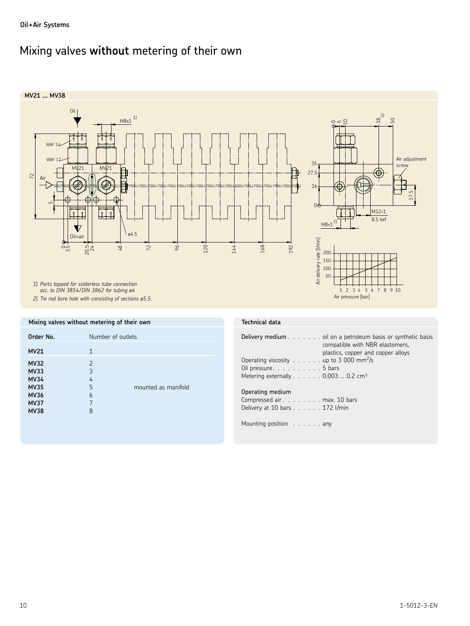### Mixing valves **without** metering of their own



**Mixing valves without metering of their own**

| mounted as manifold |
|---------------------|
|                     |

### **Technical data**

| <b>Delivery medium</b> oil on a petroleum basis or synthetic basis |
|--------------------------------------------------------------------|
| compatible with NBR elastomers,                                    |
| plastics, copper and copper alloys                                 |
| Operating viscosity up to 3 000 mm <sup>2</sup> /s                 |
| Oil pressure. $\ldots$ 5 bars                                      |
| Metering externally $\ldots \ldots$ . 0.003  0.2 cm <sup>3</sup>   |
|                                                                    |
|                                                                    |

### Operating medium

Compressed air . . . . . . . . max. 10 bars Delivery at 10 bars . . . . . . 172 l/min

Mounting position . . . . . . any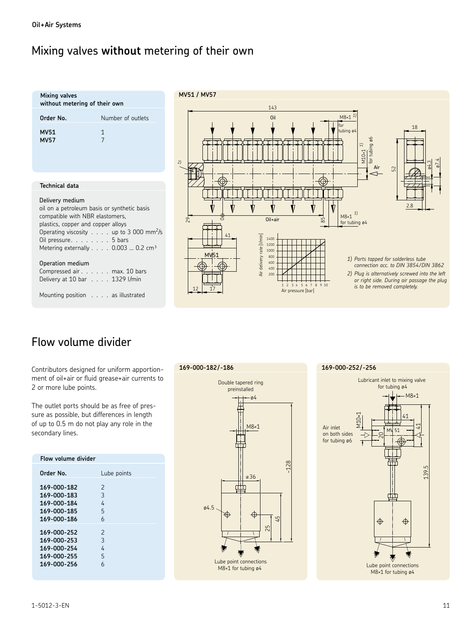### Mixing valves **without** metering of their own

| Mixing valves<br>without metering of their own                                                                                                                                                                    |                                                    | ľ  |
|-------------------------------------------------------------------------------------------------------------------------------------------------------------------------------------------------------------------|----------------------------------------------------|----|
| Order No.                                                                                                                                                                                                         | Number of outlets                                  |    |
| <b>MV51</b><br><b>MV57</b>                                                                                                                                                                                        | $\mathbf{1}$<br>$\overline{7}$                     |    |
|                                                                                                                                                                                                                   |                                                    | 2) |
| <b>Technical data</b>                                                                                                                                                                                             |                                                    |    |
| Delivery medium<br>oil on a petroleum basis or synthetic basis<br>compatible with NBR elastomers,<br>plastics, copper and copper alloys<br>Oil pressure. 5 bars<br>Metering externally 0.003  0.2 cm <sup>3</sup> | Operating viscosity up to 3 000 mm <sup>2</sup> /s |    |
| Operation medium<br>Compressed air max. 10 bars<br>Delivery at 10 bar 1329 l/min                                                                                                                                  |                                                    |    |



### Flow volume divider

Mounting position . . . . as illustrated

Contributors designed for uniform apportionment of oil+air or fluid grease+air currents to 2 or more lube points.

The outlet ports should be as free of pressure as possible, but differences in length of up to 0.5 m do not play any role in the secondary lines.

| Flow volume divider                                                     |                                   |
|-------------------------------------------------------------------------|-----------------------------------|
| Order No.                                                               | Lube points                       |
| 169-000-182<br>169-000-183<br>169-000-184<br>169-000-185<br>169-000-186 | 2<br>3<br>4<br>5<br>6             |
| 169-000-252<br>169-000-253<br>169-000-254<br>169-000-255<br>169-000-256 | $\mathcal{P}$<br>3<br>4<br>5<br>6 |



### **169-000-252/-256**

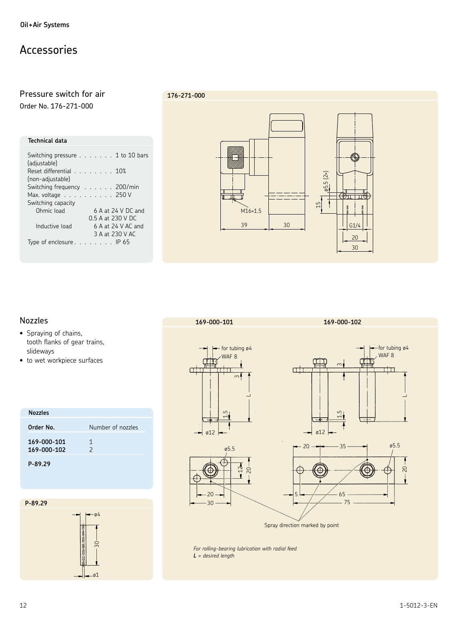### Accessories

## Pressure switch for air

Order No. 176-271-000

### **Technical data**

| Switching pressure $\ldots$ $\ldots$ 1 to 10 bars<br>(adjustable) |
|-------------------------------------------------------------------|
| Reset differential<br>(non-adjustable)                            |
| Switching frequency 200/min                                       |
| Max. voltage $\ldots$ . 250 V                                     |
| Switching capacity                                                |
| Ohmic load<br>$6$ A at 24 V DC and                                |
| 0.5 A at 230 V DC                                                 |
| Inductive load<br>$6$ A at 24 V AC and                            |
| 3 A at 230 V AC                                                   |
| Type of enclosure $\ldots$ $\ldots$ $\ldots$ IP 65                |
|                                                                   |

### **176-271-000**



### Nozzles

- Spraying of chains, tooth flanks of gear trains, slideways
- to wet workpiece surfaces

| <b>Nozzles</b>             |                    |
|----------------------------|--------------------|
| Order No.                  | Number of nozzles  |
| 169-000-101<br>169-000-102 | 1<br>$\mathcal{P}$ |
| P-89.29                    |                    |







 *For rolling-bearing lubrication with radial feed L = desired length*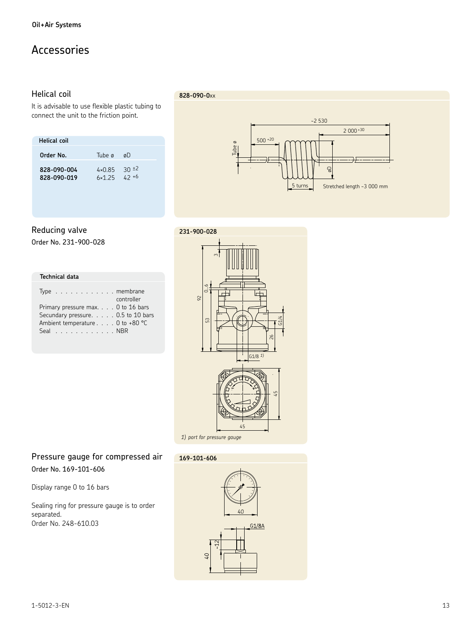### Accessories

### **Helical coil**

It is advisable to use flexible plastic tubing to connect the unit to the friction point.

| Helical coil |                 |            |
|--------------|-----------------|------------|
| Order No.    | Tube a          | øΩ         |
| 828-090-004  | $4 \times 0.85$ | $30 \pm 2$ |
| 828-090-019  | 6x1.25          | $42 + 6$   |

### 828-090-0xx



### Reducing valve

Order No. 231-900-028

| <b>Technical data</b>                                           |
|-----------------------------------------------------------------|
| Type $\ldots$ $\ldots$ $\ldots$ $\ldots$ membrane<br>controller |
| Primary pressure max. 0 to 16 bars                              |
| Secundary pressure. 0.5 to 10 bars                              |
| Ambient temperature $\ldots$ . 0 to +80 °C                      |
| Seal $\ldots$ NBR                                               |



### Pressure gauge for compressed air Order No. 169-101-606

Display range 0 to 16 bars

Sealing ring for pressure gauge is to order separated. Order No. 248-610.03



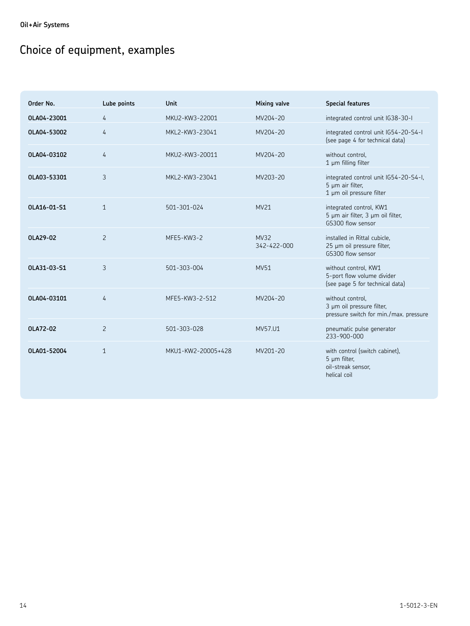## Choice of equipment, examples

| Order No.   | Lube points    | Unit               | <b>Mixing valve</b>        | <b>Special features</b>                                                                   |
|-------------|----------------|--------------------|----------------------------|-------------------------------------------------------------------------------------------|
| OLA04-23001 | $\overline{4}$ | MKU2-KW3-22001     | MV204-20                   | integrated control unit IG38-30-I                                                         |
| OLA04-53002 | $\overline{4}$ | MKL2-KW3-23041     | MV204-20                   | integrated control unit IG54-20-S4-I<br>(see page 4 for technical data)                   |
| OLA04-03102 | $\overline{4}$ | MKU2-KW3-20011     | MV204-20                   | without control.<br>1 um filling filter                                                   |
| OLA03-53301 | 3              | MKL2-KW3-23041     | MV203-20                   | integrated control unit IG54-20-S4-I,<br>5 µm air filter,<br>1 µm oil pressure filter     |
| OLA16-01-S1 | $\mathbf{1}$   | 501-301-024        | MV21                       | integrated control, KW1<br>5 µm air filter, 3 µm oil filter,<br>GS300 flow sensor         |
| OLA29-02    | $\overline{c}$ | MFE5-KW3-2         | <b>MV32</b><br>342-422-000 | installed in Rittal cubicle,<br>25 µm oil pressure filter,<br>GS300 flow sensor           |
| OLA31-03-S1 | 3              | 501-303-004        | MV51                       | without control, KW1<br>5-port flow volume divider<br>(see page 5 for technical data)     |
| OLA04-03101 | $\overline{4}$ | MFE5-KW3-2-S12     | MV204-20                   | without control.<br>3 µm oil pressure filter,<br>pressure switch for min./max. pressure   |
| OLA72-02    | $\overline{2}$ | 501-303-028        | MV57.U1                    | pneumatic pulse generator<br>233-900-000                                                  |
| OLA01-52004 | $\mathbf{1}$   | MKU1-KW2-20005+428 | MV201-20                   | with control (switch cabinet),<br>$5 \mu m$ filter,<br>oil-streak sensor,<br>helical coil |